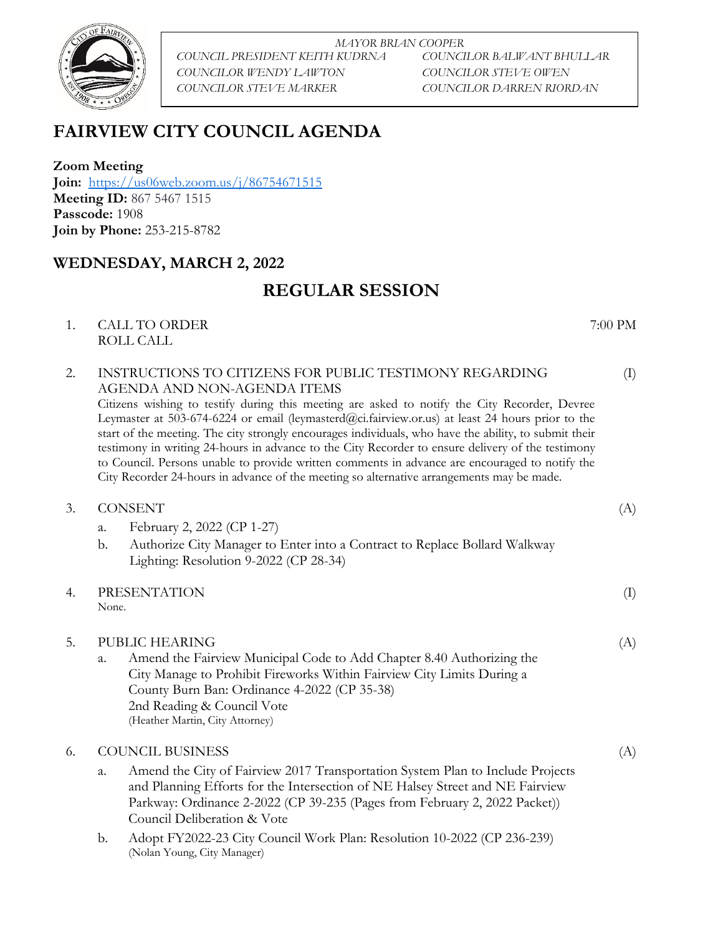

*MAYOR BRIAN COOPER COUNCIL PRESIDENT KEITH KUDRNA COUNCILOR BALWANT BHULLAR COUNCILOR WENDY LAWTON COUNCILOR STEVE OWEN COUNCILOR STEVE MARKER COUNCILOR DARREN RIORDAN*

# **FAIRVIEW CITY COUNCIL AGENDA**

**Zoom Meeting Join:** <https://us06web.zoom.us/j/86754671515> **Meeting ID:** 867 5467 1515 **Passcode:** 1908 **Join by Phone:** 253-215-8782

## **WEDNESDAY, MARCH 2, 2022**

## **REGULAR SESSION**

1. CALL TO ORDER 7:00 PM ROLL CALL

## 2. INSTRUCTIONS TO CITIZENS FOR PUBLIC TESTIMONY REGARDING AGENDA AND NON-AGENDA ITEMS

Citizens wishing to testify during this meeting are asked to notify the City Recorder, Devree Leymaster at 503-674-6224 or email (leymasterd@ci.fairview.or.us) at least 24 hours prior to the start of the meeting. The city strongly encourages individuals, who have the ability, to submit their testimony in writing 24-hours in advance to the City Recorder to ensure delivery of the testimony to Council. Persons unable to provide written comments in advance are encouraged to notify the City Recorder 24-hours in advance of the meeting so alternative arrangements may be made.

- 3. CONSENT (A)
	- a. February 2, 2022 (CP 1-27)
	- b. Authorize City Manager to Enter into a Contract to Replace Bollard Walkway Lighting: Resolution 9-2022 (CP 28-34)
- 4. PRESENTATION (I) None.

5. PUBLIC HEARING (A) a. Amend the Fairview Municipal Code to Add Chapter 8.40 Authorizing the City Manage to Prohibit Fireworks Within Fairview City Limits During a County Burn Ban: Ordinance 4-2022 (CP 35-38) 2nd Reading & Council Vote (Heather Martin, City Attorney)

### 6. COUNCIL BUSINESS (A)

- a. Amend the City of Fairview 2017 Transportation System Plan to Include Projects and Planning Efforts for the Intersection of NE Halsey Street and NE Fairview Parkway: Ordinance 2-2022 (CP 39-235 (Pages from February 2, 2022 Packet)) Council Deliberation & Vote
- b. Adopt FY2022-23 City Council Work Plan: Resolution 10-2022 (CP 236-239) (Nolan Young, City Manager)

(I)